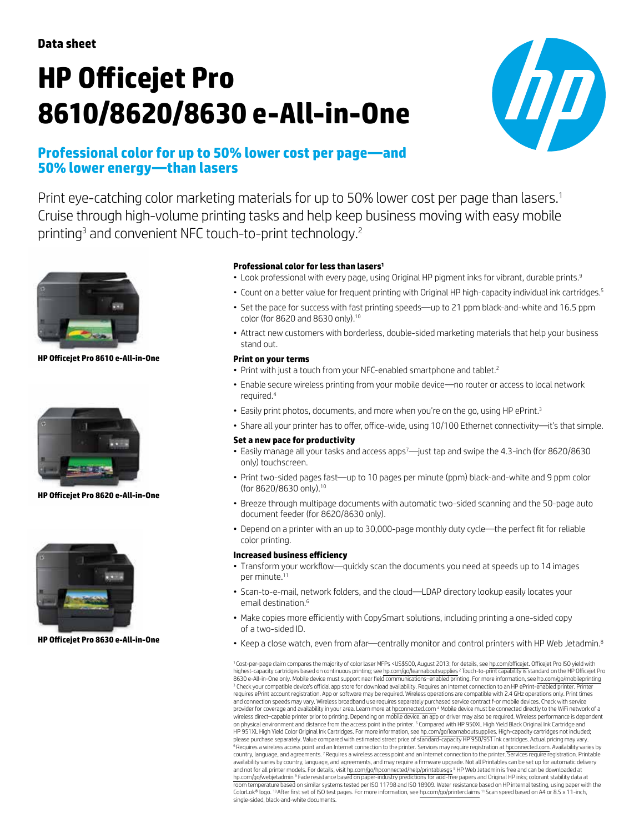# **HP Officejet Pro 8610/8620/8630 e-All-in-One**



# **Professional color for up to 50% lower cost per page—and 50% lower energy—than lasers**

Print eye-catching color marketing materials for up to 50% lower cost per page than lasers.<sup>1</sup> Cruise through high-volume printing tasks and help keep business moving with easy mobile printing<sup>3</sup> and convenient NFC touch-to-print technology.<sup>2</sup>



**HP Officejet Pro 8610 e-All-in-One**



**HP Officejet Pro 8620 e-All-in-One**



**HP Officejet Pro 8630 e-All-in-One**

## **Professional color for less than lasers<sup>1</sup>**

- Look professional with every page, using Original HP pigment inks for vibrant, durable prints.<sup>9</sup>
- Count on a better value for frequent printing with Original HP high-capacity individual ink cartridges.<sup>5</sup>
- Set the pace for success with fast printing speeds—up to 21 ppm black-and-white and 16.5 ppm color (for 8620 and 8630 only).10
- • Attract new customers with borderless, double-sided marketing materials that help your business stand out.

#### **Print on your terms**

- Print with just a touch from your NFC-enabled smartphone and tablet.<sup>2</sup>
- • Enable secure wireless printing from your mobile device—no router or access to local network required.<sup>4</sup>
- Easily print photos, documents, and more when you're on the go, using HP ePrint.<sup>3</sup>
- • Share all your printer has to offer, office-wide, using 10/100 Ethernet connectivity—it's that simple.

#### **Set a new pace for productivity**

- $\bullet$  Easily manage all your tasks and access apps<sup>7</sup>—just tap and swipe the 4.3-inch (for 8620/8630 only) touchscreen.
- Print two-sided pages fast—up to 10 pages per minute (ppm) black-and-white and 9 ppm color (for 8620/8630 only).10
- Breeze through multipage documents with automatic two-sided scanning and the 50-page auto document feeder (for 8620/8630 only).
- Depend on a printer with an up to 30,000-page monthly duty cycle—the perfect fit for reliable color printing.

#### **Increased business efficiency**

- Transform your workflow—quickly scan the documents you need at speeds up to 14 images per minute.<sup>11</sup>
- Scan-to-e-mail, network folders, and the cloud—LDAP directory lookup easily locates your email destination <sup>6</sup>
- Make copies more efficiently with CopySmart solutions, including printing a one-sided copy of a two-sided ID.
- Keep a close watch, even from afar—centrally monitor and control printers with HP Web Jetadmin.<sup>8</sup>

<sup>1</sup> Cost-per-page claim compares the majority of color laser MFPs <US\$500, August 2013; for details, see [hp.com/officejet.](http://hp.com/officejet) Officejet Pro ISO yield with highest-capacity cartridges based on continuous printing; see [hp.com/go/learnaboutsupplies](http://hp.com/go/learnaboutsupplies) <sup>2</sup> Touch-to-print capability is standard on the HP Officejet Pro 8630 e-All-in-One only. Mobile device must support near field communications-enabled printing. For more information, see [hp.com/go/mobileprinting](http://hp.com/go/mobileprinting) <sup>3</sup> Check your compatible device's official app store for download availability. Requires an Internet connection to an HP ePrint-enabled printer. Printer requires ePrint account registration. App or software may be required. Wireless operations are compatible with 2.4 GHz operations only. Print times and connection speeds may vary. Wireless broadband use requires separately purchased service contract f-or mobile devices. Check with service provider for coverage and availability in your area. Learn more at [hpconnected.com](http://hpconnected.com) <sup>4</sup> Mobile device must be connected directly to the WiFi network of a<br>wireless direct—capable printer prior to printing. Depending on mobil on physical environment and distance from the access point in the printer. <sup>5</sup> Compared with HP 950XL High Yield Black Original Ink Cartridge and HP 951XL High Yield Color Original Ink Cartridges. For more information, see [hp.com/go/learnaboutsupplies.](http://hp.com/go/learnaboutsupplies) High-capacity cartridges not included; please purchase separately. Value compared with estimated street price of standard-capacity HP 950/951 ink cartridges. Actual pricing may vary. <sup>6</sup> Requires a wireless access point and an Internet connection to the printer. Services may require registration at [hpconnected.com.](http://hpconnected.com) Availability varies by country, language, and agreements. <sup>7</sup>Requires a wireless access point and an Internet connection to the printer. Services require registration. Printable availability varies by country, language, and agreements, and may require a firmware upgrade. Not all Printables can be set up for automatic delivery and not for all printer models. For details, visit h<u>p.com/go/hpconnected/help/printablesg</u>s <sup>8</sup> HP Web Jetadmin is free and can be downloaded at<br>[hp.com/go/webjetadmin](http://hp.com/go/webjetadmin) <sup>9</sup> Fade resistance based on paper-industry prediction room temperature based on similar systems tested per ISO 11798 and ISO 18909. Water resistance based on HP internal testing, using paper with the<br>ColorLok® logo. <sup>10</sup> After first set of ISO test pages. For more information single-sided, black-and-white documents.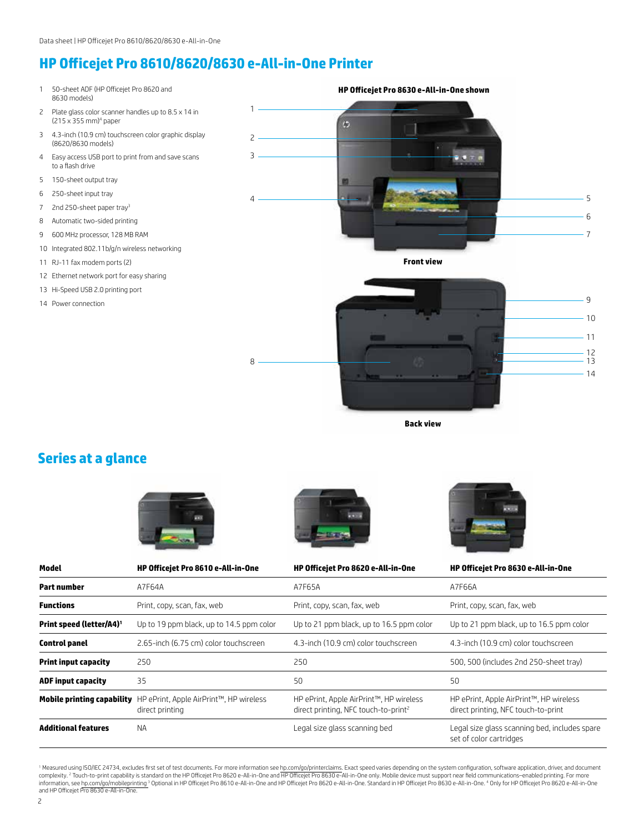# **HP Officejet Pro 8610/8620/8630 e-All-in-One Printer**

- 1 50-sheet ADF (HP Officejet Pro 8620 and 8630 models)
- 2 Plate glass color scanner handles up to 8.5 x 14 in (215 x 355 mm)<sup>4</sup> paper
- 3 4.3-inch (10.9 cm) touchscreen color graphic display (8620/8630 models)
- 4 Easy access USB port to print from and save scans to a flash drive
- 5 150-sheet output tray
- 6 250-sheet input tray
- 7 2nd 250-sheet paper tray<sup>3</sup>
- 8 Automatic two-sided printing
- 9 600 MHz processor, 128 MB RAM
- 10 Integrated 802.11b/g/n wireless networking
- 11 RJ-11 fax modem ports (2)
- 12 Ethernet network port for easy sharing
- 13 Hi-Speed USB 2.0 printing port
- 14 Power connection



**Front view**



**Back view**

# **Series at a glance**



8





| Model                                | HP Officejet Pro 8610 e-All-in-One                         | HP Officejet Pro 8620 e-All-in-One                                                          | HP Officejet Pro 8630 e-All-in-One                                             |
|--------------------------------------|------------------------------------------------------------|---------------------------------------------------------------------------------------------|--------------------------------------------------------------------------------|
| <b>Part number</b>                   | A7F64A                                                     | A7F65A                                                                                      | A7F66A                                                                         |
| <b>Functions</b>                     | Print, copy, scan, fax, web                                | Print, copy, scan, fax, web                                                                 | Print, copy, scan, fax, web                                                    |
| Print speed (letter/A4) <sup>1</sup> | Up to 19 ppm black, up to 14.5 ppm color                   | Up to 21 ppm black, up to 16.5 ppm color                                                    | Up to 21 ppm black, up to 16.5 ppm color                                       |
| <b>Control panel</b>                 | 2.65-inch (6.75 cm) color touchscreen                      | 4.3-inch (10.9 cm) color touchscreen                                                        | 4.3-inch (10.9 cm) color touchscreen                                           |
| <b>Print input capacity</b>          | 250                                                        | 250                                                                                         | 500, 500 (includes 2nd 250-sheet tray)                                         |
| <b>ADF input capacity</b>            | 35                                                         | 50                                                                                          | 50                                                                             |
| <b>Mobile printing capability</b>    | HP ePrint, Apple AirPrint™, HP wireless<br>direct printing | HP ePrint, Apple AirPrint™, HP wireless<br>direct printing, NFC touch-to-print <sup>2</sup> | HP ePrint, Apple AirPrint™, HP wireless<br>direct printing, NFC touch-to-print |
| <b>Additional features</b>           | <b>NA</b>                                                  | Legal size glass scanning bed                                                               | Legal size glass scanning bed, includes spare<br>set of color cartridges       |

<sup>1</sup> Measured using ISO/IEC 24734, excludes first set of test documents. For more information see [hp.com/go/printerclaims](http://hp.com/go/printerclaims). Exact speed varies depending on the system configuration, software application, driver, and document information, see [hp.com/go/mobileprinting](http://hp.com/go/mobileprinting) <sup>3</sup> Optional in HP Officejet Pro 8610 e-All-in-One and HP Officejet Pro 8620 e-All-in-One. Standard in HP Officejet Pro 8630 e-All-in-One. " Only for HP Officejet Pro 8620 e-All-in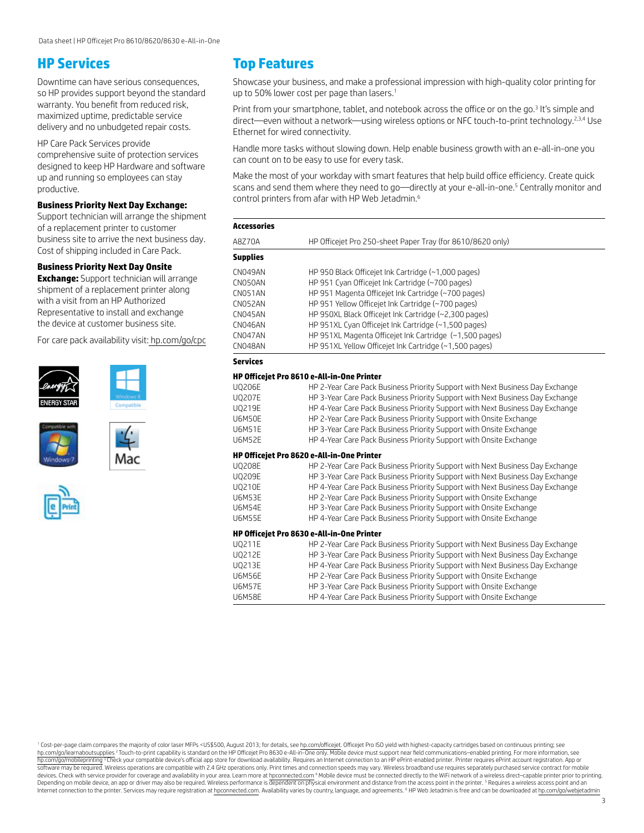## **HP Services**

Downtime can have serious consequences, so HP provides support beyond the standard warranty. You benefit from reduced risk, maximized uptime, predictable service delivery and no unbudgeted repair costs.

HP Care Pack Services provide comprehensive suite of protection services designed to keep HP Hardware and software up and running so employees can stay productive.

#### **Business Priority Next Day Exchange:**

Support technician will arrange the shipment of a replacement printer to customer business site to arrive the next business day. Cost of shipping included in Care Pack.

#### **Business Priority Next Day Onsite**

**Exchange:** Support technician will arrange shipment of a replacement printer along with a visit from an HP Authorized Representative to install and exchange the device at customer business site.

For care pack availability visit: [hp.com/go/cpc](http://hp.com/go/cpc)











## **Top Features**

Showcase your business, and make a professional impression with high-quality color printing for up to 50% lower cost per page than lasers.<sup>1</sup>

Print from your smartphone, tablet, and notebook across the office or on the go.<sup>3</sup> It's simple and direct—even without a network—using wireless options or NFC touch-to-print technology.<sup>2,3,4</sup> Use Ethernet for wired connectivity.

Handle more tasks without slowing down. Help enable business growth with an e-all-in-one you can count on to be easy to use for every task.

Make the most of your workday with smart features that help build office efficiency. Create quick scans and send them where they need to go—directly at your e-all-in-one.<sup>5</sup> Centrally monitor and control printers from afar with HP Web Jetadmin.6

| Accessories |                                                            |  |  |
|-------------|------------------------------------------------------------|--|--|
| A8Z70A      | HP Officejet Pro 250-sheet Paper Tray (for 8610/8620 only) |  |  |
| Supplies    |                                                            |  |  |
| CN049AN     | HP 950 Black Officejet Ink Cartridge (~1,000 pages)        |  |  |
| CN050AN     | HP 951 Cyan Officejet Ink Cartridge (~700 pages)           |  |  |
| CN051AN     | HP 951 Magenta Officejet Ink Cartridge (~700 pages)        |  |  |
| CN052AN     | HP 951 Yellow Officejet Ink Cartridge (~700 pages)         |  |  |
| CN045AN     | HP 950XL Black Officejet Ink Cartridge (~2,300 pages)      |  |  |
| CN046AN     | HP 951XL Cyan Officejet Ink Cartridge (~1,500 pages)       |  |  |
| CN047AN     | HP 951XL Magenta Officejet Ink Cartridge (~1,500 pages)    |  |  |
| CN048AN     | HP 951XL Yellow Officejet Ink Cartridge (~1,500 pages)     |  |  |
| Services    |                                                            |  |  |

#### **HP Officejet Pro 8610 e-All-in-One Printer**

| <b>UQ206E</b>                                     | HP 2-Year Care Pack Business Priority Support with Next Business Day Exchange |  |  |  |  |
|---------------------------------------------------|-------------------------------------------------------------------------------|--|--|--|--|
| <b>UQ207E</b>                                     | HP 3-Year Care Pack Business Priority Support with Next Business Day Exchange |  |  |  |  |
| U0219E                                            | HP 4-Year Care Pack Business Priority Support with Next Business Day Exchange |  |  |  |  |
| <b>U6M50E</b>                                     | HP 2-Year Care Pack Business Priority Support with Onsite Exchange            |  |  |  |  |
| <b>U6M51E</b>                                     | HP 3-Year Care Pack Business Priority Support with Onsite Exchange            |  |  |  |  |
| <b>U6M52E</b>                                     | HP 4-Year Care Pack Business Priority Support with Onsite Exchange            |  |  |  |  |
| HP Officejet Pro 8620 e-All-in-One Printer        |                                                                               |  |  |  |  |
| <b>UQ208E</b>                                     | HP 2-Year Care Pack Business Priority Support with Next Business Day Exchange |  |  |  |  |
| <b>UQ209E</b>                                     | HP 3-Year Care Pack Business Priority Support with Next Business Day Exchange |  |  |  |  |
| <b>U0210E</b>                                     | HP 4-Year Care Pack Business Priority Support with Next Business Day Exchange |  |  |  |  |
| <b>U6M53E</b>                                     | HP 2-Year Care Pack Business Priority Support with Onsite Exchange            |  |  |  |  |
| <b>U6M54E</b>                                     | HP 3-Year Care Pack Business Priority Support with Onsite Exchange            |  |  |  |  |
| <b>U6M55E</b>                                     | HP 4-Year Care Pack Business Priority Support with Onsite Exchange            |  |  |  |  |
| <b>HP Officeiet Pro 8630 e-All-in-One Printer</b> |                                                                               |  |  |  |  |
| UQ211E                                            | HP 2-Year Care Pack Business Priority Support with Next Business Day Exchange |  |  |  |  |
| <b>UQ212E</b>                                     | HP 3-Year Care Pack Business Priority Support with Next Business Day Exchange |  |  |  |  |
| U0213E                                            | HP 4-Year Care Pack Business Priority Support with Next Business Day Exchange |  |  |  |  |
| <b>U6M56E</b>                                     | HP 2-Year Care Pack Business Priority Support with Onsite Exchange            |  |  |  |  |
| <b>U6M57E</b>                                     | HP 3-Year Care Pack Business Priority Support with Onsite Exchange            |  |  |  |  |
| <b>U6M58E</b>                                     | HP 4-Year Care Pack Business Priority Support with Onsite Exchange            |  |  |  |  |

<sup>1</sup> Cost-per-page claim compares the majority of color laser MFPs <US\$500, August 2013; for details, see [hp.com/officejet](http://hp.com/officejet). Officeiet Pro ISO yield with highest-capacity cartridges based on continuous printing; see [hp.com/go/learnaboutsupplies](http://hp.com/go/learnaboutsupplies) <sup>2</sup> Touch-to-print capability is standard on the HP Officejet Pro 8630 e-All-in-One only. Mobile device must support near field communications–enabled printing. For more information, see [hp.com/go/mobileprinting](http://hp.com/go/mobileprinting) <sup>3</sup> Check your compatible device's official app store for download availability. Requires an Internet connection to an HP ePrint-enabled printer. Printer requires ePrint account registration. App or software may be required. Wireless operations are compatible with 2.4 GHz operations only. Print times and connection speeds may vary. Wireless broadband use requires separately purchased service contract for mobile devices. Check with service provider for coverage and availability in your area. Learn more at [hpconnected.com](http://hpconnected.com) " Mobile device must be connected directly to the WiFi network of a wireless direct—capable printer prior to pr Internet connection to the printer. Services may require registration at [hpconnected.com](http://hpconnected.com). Availability varies by country, language, and agreements. <sup>6</sup> HP Web Jetadmin is free and can be downloaded at [hp.com/go/webjetadmin](http://hp.com/go/webjetadmin)